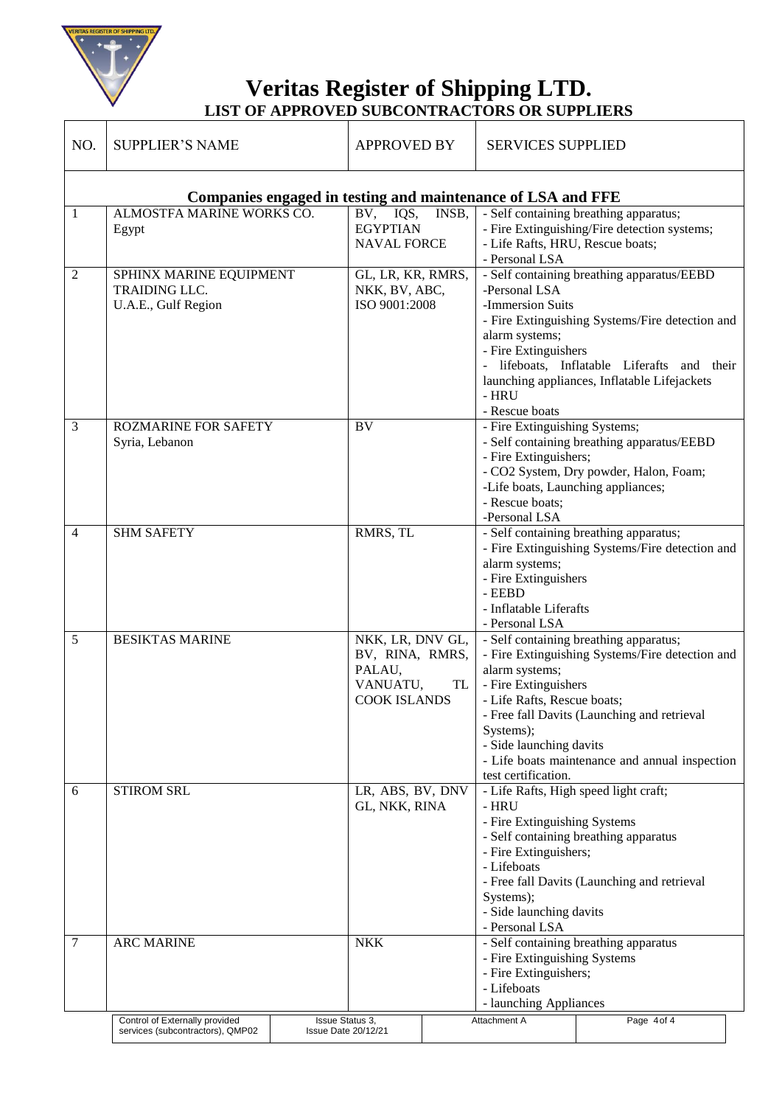

 $\mathbf{r}$ 

**Veritas Register of Shipping LTD. LIST OF APPROVED SUBCONTRACTORS OR SUPPLIERS**

| NO.                                                         | <b>SUPPLIER'S NAME</b>                                                 | <b>APPROVED BY</b>                                                               |       | <b>SERVICES SUPPLIED</b>                                                                                                                                                                                                                                                                                                           |                                                                                                                                                                                              |  |
|-------------------------------------------------------------|------------------------------------------------------------------------|----------------------------------------------------------------------------------|-------|------------------------------------------------------------------------------------------------------------------------------------------------------------------------------------------------------------------------------------------------------------------------------------------------------------------------------------|----------------------------------------------------------------------------------------------------------------------------------------------------------------------------------------------|--|
| Companies engaged in testing and maintenance of LSA and FFE |                                                                        |                                                                                  |       |                                                                                                                                                                                                                                                                                                                                    |                                                                                                                                                                                              |  |
| 1                                                           | ALMOSTFA MARINE WORKS CO.<br>Egypt                                     | $\overline{BV}$ , IQS,<br><b>EGYPTIAN</b><br><b>NAVAL FORCE</b>                  | INSB, | - Life Rafts, HRU, Rescue boats;<br>- Personal LSA                                                                                                                                                                                                                                                                                 | - Self containing breathing apparatus;<br>- Fire Extinguishing/Fire detection systems;                                                                                                       |  |
| $\overline{2}$                                              | SPHINX MARINE EQUIPMENT<br><b>TRAIDING LLC.</b><br>U.A.E., Gulf Region | GL, LR, KR, RMRS,<br>NKK, BV, ABC,<br>ISO 9001:2008                              |       | -Personal LSA<br>-Immersion Suits<br>alarm systems;<br>- Fire Extinguishers<br>- HRU<br>- Rescue boats                                                                                                                                                                                                                             | - Self containing breathing apparatus/EEBD<br>- Fire Extinguishing Systems/Fire detection and<br>- lifeboats, Inflatable Liferafts and their<br>launching appliances, Inflatable Lifejackets |  |
| 3                                                           | <b>ROZMARINE FOR SAFETY</b><br>Syria, Lebanon                          | $\overline{BV}$                                                                  |       | - Fire Extinguishing Systems;<br>- Fire Extinguishers;<br>-Life boats, Launching appliances;<br>- Rescue boats;<br>-Personal LSA                                                                                                                                                                                                   | - Self containing breathing apparatus/EEBD<br>- CO2 System, Dry powder, Halon, Foam;                                                                                                         |  |
| $\overline{4}$                                              | <b>SHM SAFETY</b>                                                      | RMRS, TL                                                                         |       | alarm systems;<br>- Fire Extinguishers<br>- EEBD<br>- Inflatable Liferafts<br>- Personal LSA                                                                                                                                                                                                                                       | - Self containing breathing apparatus;<br>- Fire Extinguishing Systems/Fire detection and                                                                                                    |  |
| 5                                                           | <b>BESIKTAS MARINE</b>                                                 | NKK, LR, DNV GL,<br>BV, RINA, RMRS,<br>PALAU,<br>VANUATU,<br><b>COOK ISLANDS</b> | TL    | - Self containing breathing apparatus;<br>- Fire Extinguishing Systems/Fire detection and<br>alarm systems;<br>- Fire Extinguishers<br>- Life Rafts, Rescue boats;<br>- Free fall Davits (Launching and retrieval<br>Systems);<br>- Side launching davits<br>- Life boats maintenance and annual inspection<br>test certification. |                                                                                                                                                                                              |  |
| 6                                                           | <b>STIROM SRL</b>                                                      | LR, ABS, BV, DNV<br>GL, NKK, RINA                                                |       | - Life Rafts, High speed light craft;<br>- HRU<br>- Fire Extinguishing Systems<br>- Self containing breathing apparatus<br>- Fire Extinguishers;<br>- Lifeboats<br>- Free fall Davits (Launching and retrieval<br>Systems);<br>- Side launching davits<br>- Personal LSA                                                           |                                                                                                                                                                                              |  |
| 7                                                           | <b>ARC MARINE</b>                                                      | <b>NKK</b>                                                                       |       | - Fire Extinguishing Systems<br>- Fire Extinguishers;<br>- Lifeboats<br>- launching Appliances                                                                                                                                                                                                                                     | - Self containing breathing apparatus                                                                                                                                                        |  |
|                                                             | Control of Externally provided<br>services (subcontractors), QMP02     | <b>Issue Status 3.</b><br><b>Issue Date 20/12/21</b>                             |       | Attachment A                                                                                                                                                                                                                                                                                                                       | Page 4 of 4                                                                                                                                                                                  |  |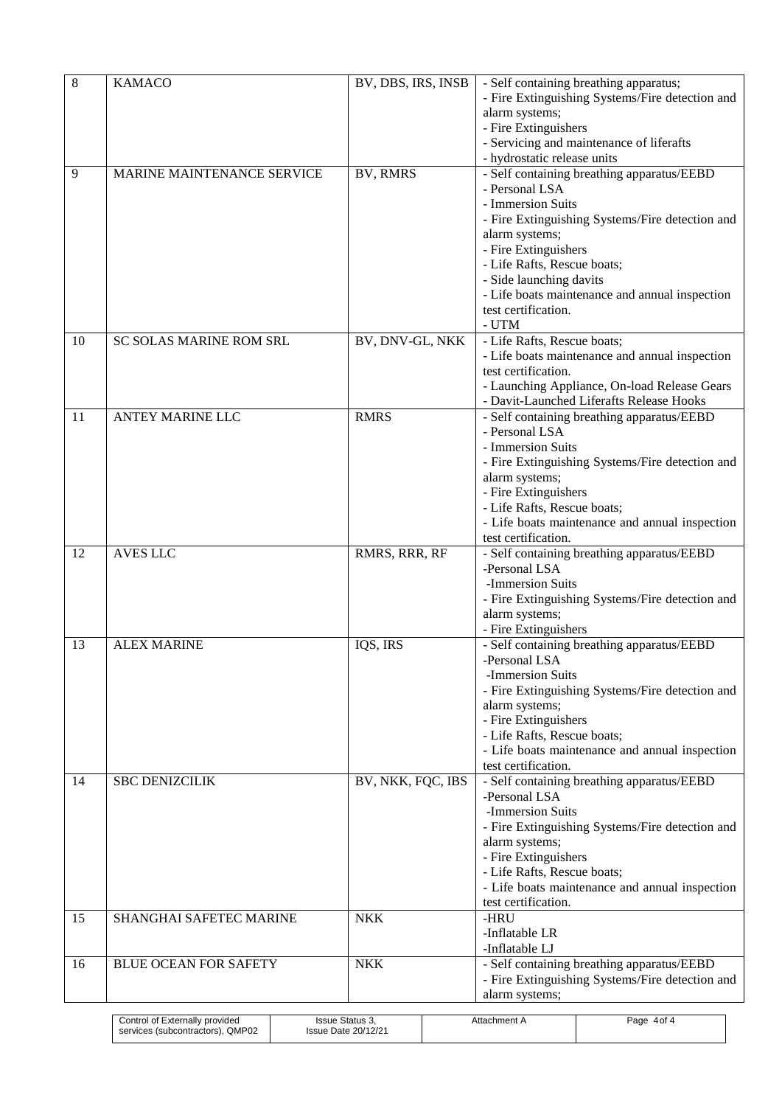| 8  | <b>KAMACO</b>                  | BV, DBS, IRS, INSB    | - Self containing breathing apparatus;<br>- Fire Extinguishing Systems/Fire detection and<br>alarm systems;                                                                                                                                                                            |
|----|--------------------------------|-----------------------|----------------------------------------------------------------------------------------------------------------------------------------------------------------------------------------------------------------------------------------------------------------------------------------|
|    |                                |                       | - Fire Extinguishers<br>- Servicing and maintenance of liferafts<br>- hydrostatic release units                                                                                                                                                                                        |
| 9  | MARINE MAINTENANCE SERVICE     | BV, RMRS              | - Self containing breathing apparatus/EEBD<br>- Personal LSA<br>- Immersion Suits<br>- Fire Extinguishing Systems/Fire detection and<br>alarm systems;<br>- Fire Extinguishers<br>- Life Rafts, Rescue boats;                                                                          |
|    |                                |                       | - Side launching davits<br>- Life boats maintenance and annual inspection<br>test certification.<br>- UTM                                                                                                                                                                              |
| 10 | SC SOLAS MARINE ROM SRL        | BV, DNV-GL, NKK       | - Life Rafts, Rescue boats;<br>- Life boats maintenance and annual inspection<br>test certification.<br>- Launching Appliance, On-load Release Gears<br>- Davit-Launched Liferafts Release Hooks                                                                                       |
| 11 | <b>ANTEY MARINE LLC</b>        | <b>RMRS</b>           | - Self containing breathing apparatus/EEBD<br>- Personal LSA<br>- Immersion Suits<br>- Fire Extinguishing Systems/Fire detection and<br>alarm systems;<br>- Fire Extinguishers<br>- Life Rafts, Rescue boats;<br>- Life boats maintenance and annual inspection<br>test certification. |
| 12 | <b>AVES LLC</b>                | RMRS, RRR, RF         | - Self containing breathing apparatus/EEBD<br>-Personal LSA<br>-Immersion Suits<br>- Fire Extinguishing Systems/Fire detection and<br>alarm systems;<br>- Fire Extinguishers                                                                                                           |
| 13 | <b>ALEX MARINE</b>             | IQS, IRS              | - Self containing breathing apparatus/EEBD<br>-Personal LSA<br>-Immersion Suits<br>- Fire Extinguishing Systems/Fire detection and<br>alarm systems;<br>- Fire Extinguishers<br>- Life Rafts, Rescue boats;<br>- Life boats maintenance and annual inspection<br>test certification.   |
| 14 | <b>SBC DENIZCILIK</b>          | BV, NKK, FQC, IBS     | - Self containing breathing apparatus/EEBD<br>-Personal LSA<br>-Immersion Suits<br>- Fire Extinguishing Systems/Fire detection and<br>alarm systems;<br>- Fire Extinguishers<br>- Life Rafts, Rescue boats;<br>- Life boats maintenance and annual inspection<br>test certification.   |
| 15 | SHANGHAI SAFETEC MARINE        | <b>NKK</b>            | -HRU<br>-Inflatable LR<br>-Inflatable LJ                                                                                                                                                                                                                                               |
| 16 | <b>BLUE OCEAN FOR SAFETY</b>   | <b>NKK</b>            | - Self containing breathing apparatus/EEBD<br>- Fire Extinguishing Systems/Fire detection and<br>alarm systems;                                                                                                                                                                        |
|    | Control of Externally provided | $P_{0010}$ $P_{1010}$ | $A$ <sup>#n</sup> ophmon <sup>+</sup> $A$                                                                                                                                                                                                                                              |

| Control of Externally provided        | <b>Issue Status 3.</b>     | Attachment A | Page 4of 4 |
|---------------------------------------|----------------------------|--------------|------------|
| . QMP02<br>services (subcontractors), | <b>Issue Date 20/12/21</b> |              |            |